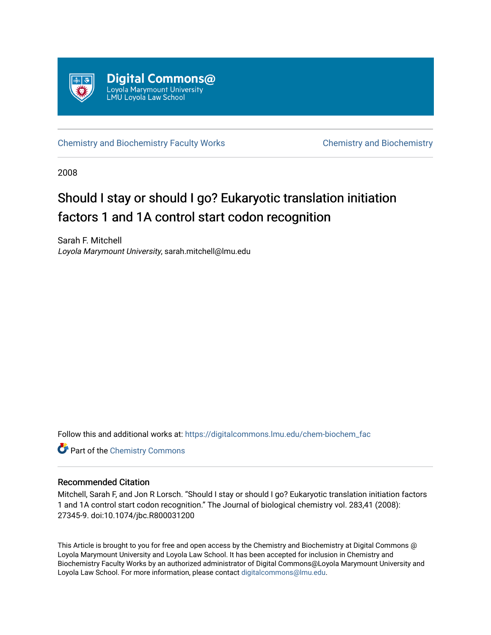

[Chemistry and Biochemistry Faculty Works](https://digitalcommons.lmu.edu/chem-biochem_fac) [Chemistry and Biochemistry](https://digitalcommons.lmu.edu/chem-biochem) 

2008

# Should I stay or should I go? Eukaryotic translation initiation factors 1 and 1A control start codon recognition

Sarah F. Mitchell Loyola Marymount University, sarah.mitchell@lmu.edu

Follow this and additional works at: [https://digitalcommons.lmu.edu/chem-biochem\\_fac](https://digitalcommons.lmu.edu/chem-biochem_fac?utm_source=digitalcommons.lmu.edu%2Fchem-biochem_fac%2F16&utm_medium=PDF&utm_campaign=PDFCoverPages) 

**Part of the Chemistry Commons** 

## Recommended Citation

Mitchell, Sarah F, and Jon R Lorsch. "Should I stay or should I go? Eukaryotic translation initiation factors 1 and 1A control start codon recognition." The Journal of biological chemistry vol. 283,41 (2008): 27345-9. doi:10.1074/jbc.R800031200

This Article is brought to you for free and open access by the Chemistry and Biochemistry at Digital Commons @ Loyola Marymount University and Loyola Law School. It has been accepted for inclusion in Chemistry and Biochemistry Faculty Works by an authorized administrator of Digital Commons@Loyola Marymount University and Loyola Law School. For more information, please contact [digitalcommons@lmu.edu](mailto:digitalcommons@lmu.edu).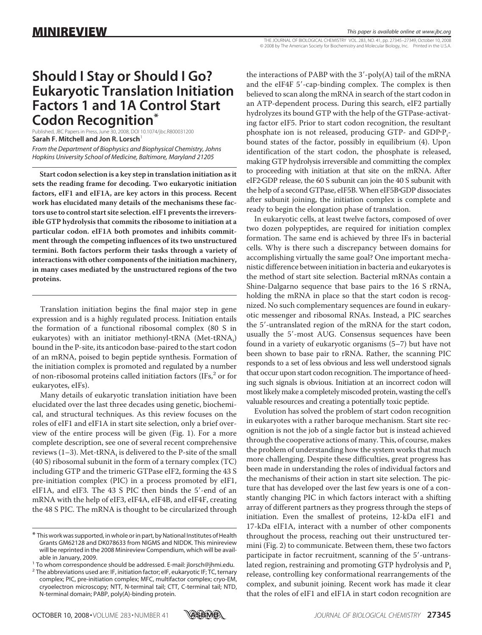THE JOURNAL OF BIOLOGICAL CHEMISTRY VOL. 283, NO. 41, pp. 27345–27349, October 10, 2008 © 2008 by The American Society for Biochemistry and Molecular Biology, Inc. Printed in the U.S.A.

# **Should I Stay or Should I Go? Eukaryotic Translation Initiation Factors 1 and 1A Control Start Codon Recognition\***

Published, JBC Papers in Press, June 30, 2008, DOI 10.1074/jbc.R800031200 **Sarah F. Mitchell and Jon R. Lorsch** *From the Department of Biophysics and Biophysical Chemistry, Johns Hopkins University School of Medicine, Baltimore, Maryland 21205*

**Start codon selection is a key step in translation initiation as it sets the reading frame for decoding. Two eukaryotic initiation factors, eIF1 and eIF1A, are key actors in this process. Recent work has elucidated many details of the mechanisms these factors use to control start site selection. eIF1 prevents the irreversible GTP hydrolysis that commits the ribosome to initiation at a particular codon. eIF1A both promotes and inhibits commitment through the competing influences of its two unstructured termini. Both factors perform their tasks through a variety of interactions with other components of the initiation machinery, in many cases mediated by the unstructured regions of the two proteins.**

Translation initiation begins the final major step in gene expression and is a highly regulated process. Initiation entails the formation of a functional ribosomal complex (80 S in eukaryotes) with an initiator methionyl-tRNA (Met-tRNA<sub>i</sub>) bound in the P-site, its anticodon base-paired to the start codon of an mRNA, poised to begin peptide synthesis. Formation of the initiation complex is promoted and regulated by a number of non-ribosomal proteins called initiation factors  $(IFs<sub>1</sub><sup>2</sup> or for$ eukaryotes, eIFs).

Many details of eukaryotic translation initiation have been elucidated over the last three decades using genetic, biochemical, and structural techniques. As this review focuses on the roles of eIF1 and eIF1A in start site selection, only a brief overview of the entire process will be given (Fig. 1). For a more complete description, see one of several recent comprehensive reviews  $(1-3)$ . Met-tRNA<sub>i</sub> is delivered to the P-site of the small (40 S) ribosomal subunit in the form of a ternary complex (TC) including GTP and the trimeric GTPase eIF2, forming the 43 S pre-initiation complex (PIC) in a process promoted by eIF1, eIF1A, and eIF3. The 43 S PIC then binds the 5'-end of an mRNA with the help of eIF3, eIF4A, eIF4B, and eIF4F, creating the 48 S PIC. The mRNA is thought to be circularized through

the interactions of PABP with the  $3'$ -poly(A) tail of the mRNA and the eIF4F 5'-cap-binding complex. The complex is then believed to scan along the mRNA in search of the start codon in an ATP-dependent process. During this search, eIF2 partially hydrolyzes its bound GTP with the help of the GTPase-activating factor eIF5. Prior to start codon recognition, the resultant phosphate ion is not released, producing GTP- and GDP·P<sub>i</sub>bound states of the factor, possibly in equilibrium (4). Upon identification of the start codon, the phosphate is released, making GTP hydrolysis irreversible and committing the complex to proceeding with initiation at that site on the mRNA. After eIF2GDP release, the 60 S subunit can join the 40 S subunit with the help of a second GTPase, eIF5B. When eIF5B·GDP dissociates after subunit joining, the initiation complex is complete and ready to begin the elongation phase of translation.

In eukaryotic cells, at least twelve factors, composed of over two dozen polypeptides, are required for initiation complex formation. The same end is achieved by three IFs in bacterial cells. Why is there such a discrepancy between domains for accomplishing virtually the same goal? One important mechanistic difference between initiation in bacteria and eukaryotes is the method of start site selection. Bacterial mRNAs contain a Shine-Dalgarno sequence that base pairs to the 16 S rRNA, holding the mRNA in place so that the start codon is recognized. No such complementary sequences are found in eukaryotic messenger and ribosomal RNAs. Instead, a PIC searches the 5'-untranslated region of the mRNA for the start codon, usually the 5'-most AUG. Consensus sequences have been found in a variety of eukaryotic organisms (5–7) but have not been shown to base pair to rRNA. Rather, the scanning PIC responds to a set of less obvious and less well understood signals that occur upon start codon recognition. The importance of heeding such signals is obvious. Initiation at an incorrect codon will most likely make a completely miscoded protein, wasting the cell's valuable resources and creating a potentially toxic peptide.

Evolution has solved the problem of start codon recognition in eukaryotes with a rather baroque mechanism. Start site recognition is not the job of a single factor but is instead achieved through the cooperative actions of many. This, of course, makes the problem of understanding how the system works that much more challenging. Despite these difficulties, great progress has been made in understanding the roles of individual factors and the mechanisms of their action in start site selection. The picture that has developed over the last few years is one of a constantly changing PIC in which factors interact with a shifting array of different partners as they progress through the steps of initiation. Even the smallest of proteins, 12-kDa eIF1 and 17-kDa eIF1A, interact with a number of other components throughout the process, reaching out their unstructured termini (Fig. 2) to communicate. Between them, these two factors participate in factor recruitment, scanning of the 5'-untranslated region, restraining and promoting GTP hydrolysis and P<sub>i</sub> release, controlling key conformational rearrangements of the complex, and subunit joining. Recent work has made it clear that the roles of eIF1 and eIF1A in start codon recognition are



<sup>\*</sup> This work was supported, in whole or in part, by National Institutes of Health Grants GM62128 and DK078633 from NIGMS and NIDDK. This minireview will be reprinted in the 2008 Minireview Compendium, which will be avail-

able in January, 2009. <sup>1</sup> To whom correspondence should be addressed. E-mail: jlorsch@jhmi.edu.

 $2$  The abbreviations used are: IF, initiation factor; eIF, eukaryotic IF; TC, ternary complex; PIC, pre-initiation complex; MFC, multifactor complex; cryo-EM, cryoelectron microscopy; NTT, N-terminal tail; CTT, C-terminal tail; NTD, N-terminal domain; PABP, poly(A)-binding protein.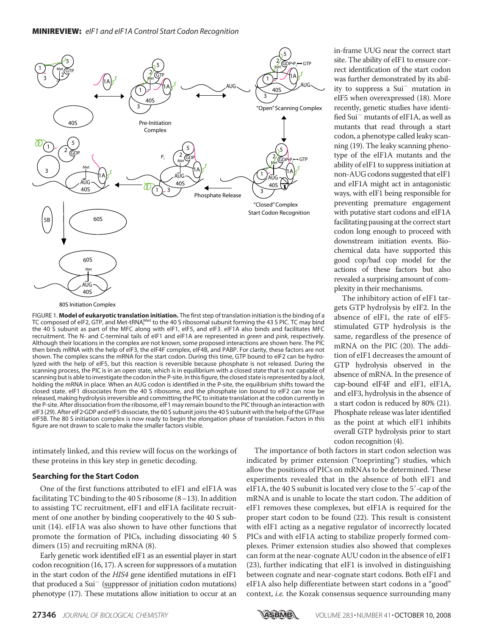

FIGURE 1. **Model of eukaryotic translation initiation.** The first step of translation initiation is the binding of a TC composed of eIF2, GTP, and Met-tRNA $_{{\sf i}}^{{\sf Met}}$  to the 40 S ribosomal subunit forming the 43 S PIC. TC may bind the 40 S subunit as part of the MFC along with eIF1, eIF5, and eIF3. eIF1A also binds and facilitates MFC recruitment. The N- and C-terminal tails of eIF1 and eIF1A are represented in *green* and *pink*, respectively. Although their locations in the complex are not known, some proposed interactions are shown here. The PIC then binds mRNA with the help of eIF3, the eIF4F complex, eIF4B, and PABP. For clarity, these factors are not shown. The complex scans the mRNA for the start codon. During this time, GTP bound to eIF2 can be hydrolyzed with the help of eIF5, but this reaction is reversible because phosphate is not released. During the scanning process, the PIC is in an open state, which is in equilibrium with a closed state that is not capable of scanning but is able to investigate the codon in the P-site. In thisfigure, the closed state is represented by a *lock*, holding the mRNA in place. When an AUG codon is identified in the P-site, the equilibrium shifts toward the closed state. eIF1 dissociates from the 40 S ribosome, and the phosphate ion bound to eIF2 can now be released, making hydrolysis irreversible and committing the PIC to initiate translation at the codon currently in the P-site. After dissociation from the ribosome, eIF1 may remain bound to the PIC through an interaction with eIF3 (29). After eIF2GDP and eIF5 dissociate, the 60 S subunit joins the 40 S subunit with the help of the GTPase eIF5B. The 80 S initiation complex is now ready to begin the elongation phase of translation. Factors in this figure are not drawn to scale to make the smaller factors visible.

intimately linked, and this review will focus on the workings of these proteins in this key step in genetic decoding.

### **Searching for the Start Codon**

One of the first functions attributed to eIF1 and eIF1A was facilitating TC binding to the 40 S ribosome (8–13). In addition to assisting TC recruitment, eIF1 and eIF1A facilitate recruitment of one another by binding cooperatively to the 40 S subunit (14). eIF1A was also shown to have other functions that promote the formation of PICs, including dissociating 40 S dimers (15) and recruiting mRNA (8).

Early genetic work identified eIF1 as an essential player in start codon recognition (16, 17). A screen for suppressors of a mutation in the start codon of the *HIS4* gene identified mutations in eIF1 that produced a Sui<sup>-</sup> (suppressor of initiation codon mutations) phenotype (17). These mutations allow initiation to occur at an site. The ability of eIF1 to ensure correct identification of the start codon was further demonstrated by its ability to suppress a Sui<sup>-</sup> mutation in eIF5 when overexpressed (18). More recently, genetic studies have identified Sui<sup>-</sup> mutants of eIF1A, as well as mutants that read through a start codon, a phenotype called leaky scanning (19). The leaky scanning phenotype of the eIF1A mutants and the ability of eIF1 to suppress initiation at non-AUG codons suggested that eIF1 and eIF1A might act in antagonistic ways, with eIF1 being responsible for preventing premature engagement with putative start codons and eIF1A facilitating pausing at the correct start codon long enough to proceed with downstream initiation events. Biochemical data have supported this good cop/bad cop model for the actions of these factors but also revealed a surprising amount of complexity in their mechanisms.

in-frame UUG near the correct start

The inhibitory action of eIF1 targets GTP hydrolysis by eIF2. In the absence of eIF1, the rate of eIF5 stimulated GTP hydrolysis is the same, regardless of the presence of mRNA on the PIC (20). The addition of eIF1 decreases the amount of GTP hydrolysis observed in the absence of mRNA. In the presence of cap-bound eIF4F and eIF1, eIF1A, and eIF3, hydrolysis in the absence of a start codon is reduced by 80% (21). Phosphate release was later identified as the point at which eIF1 inhibits overall GTP hydrolysis prior to start codon recognition (4).

The importance of both factors in start codon selection was indicated by primer extension ("toeprinting") studies, which allow the positions of PICs on mRNAs to be determined. These experiments revealed that in the absence of both eIF1 and eIF1A, the 40 S subunit is located very close to the 5'-cap of the mRNA and is unable to locate the start codon. The addition of eIF1 removes these complexes, but eIF1A is required for the proper start codon to be found (22). This result is consistent with eIF1 acting as a negative regulator of incorrectly located PICs and with eIF1A acting to stabilize properly formed complexes. Primer extension studies also showed that complexes can form at the near-cognate AUU codon in the absence of eIF1 (23), further indicating that eIF1 is involved in distinguishing between cognate and near-cognate start codons. Both eIF1 and eIF1A also help differentiate between start codons in a "good" context, *i.e.* the Kozak consensus sequence surrounding many

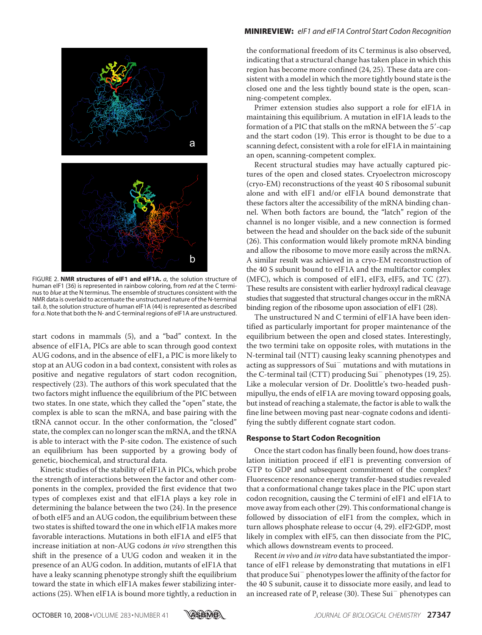

FIGURE 2. **NMR structures of eIF1 and eIF1A.** *a*, the solution structure of human eIF1 (36) is represented in rainbow coloring, from *red* at the C terminus to *blue* at the N terminus. The ensemble of structures consistent with the NMR data is overlaid to accentuate the unstructured nature of the N-terminal tail. *b*, the solution structure of human eIF1A (44) is represented as described for *a*. Note that both the N- and C-terminal regions of eIF1A are unstructured.

start codons in mammals (5), and a "bad" context. In the absence of eIF1A, PICs are able to scan through good context AUG codons, and in the absence of eIF1, a PIC is more likely to stop at an AUG codon in a bad context, consistent with roles as positive and negative regulators of start codon recognition, respectively (23). The authors of this work speculated that the two factors might influence the equilibrium of the PIC between two states. In one state, which they called the "open" state, the complex is able to scan the mRNA, and base pairing with the tRNA cannot occur. In the other conformation, the "closed" state, the complex can no longer scan the mRNA, and the tRNA is able to interact with the P-site codon. The existence of such an equilibrium has been supported by a growing body of genetic, biochemical, and structural data.

Kinetic studies of the stability of eIF1A in PICs, which probe the strength of interactions between the factor and other components in the complex, provided the first evidence that two types of complexes exist and that eIF1A plays a key role in determining the balance between the two (24). In the presence of both eIF5 and an AUG codon, the equilibrium between these two states is shifted toward the one in which eIF1A makes more favorable interactions. Mutations in both eIF1A and eIF5 that increase initiation at non-AUG codons *in vivo* strengthen this shift in the presence of a UUG codon and weaken it in the presence of an AUG codon. In addition, mutants of eIF1A that have a leaky scanning phenotype strongly shift the equilibrium toward the state in which eIF1A makes fewer stabilizing interactions (25). When eIF1A is bound more tightly, a reduction in

#### MINIREVIEW: *eIF1 and eIF1A Control Start Codon Recognition*

the conformational freedom of its C terminus is also observed, indicating that a structural change has taken place in which this region has become more confined (24, 25). These data are consistent with a model in which the more tightly bound state is the closed one and the less tightly bound state is the open, scanning-competent complex.

Primer extension studies also support a role for eIF1A in maintaining this equilibrium. A mutation in eIF1A leads to the formation of a PIC that stalls on the mRNA between the 5'-cap and the start codon (19). This error is thought to be due to a scanning defect, consistent with a role for eIF1A in maintaining an open, scanning-competent complex.

Recent structural studies may have actually captured pictures of the open and closed states. Cryoelectron microscopy (cryo-EM) reconstructions of the yeast 40 S ribosomal subunit alone and with eIF1 and/or eIF1A bound demonstrate that these factors alter the accessibility of the mRNA binding channel. When both factors are bound, the "latch" region of the channel is no longer visible, and a new connection is formed between the head and shoulder on the back side of the subunit (26). This conformation would likely promote mRNA binding and allow the ribosome to move more easily across the mRNA. A similar result was achieved in a cryo-EM reconstruction of the 40 S subunit bound to eIF1A and the multifactor complex (MFC), which is composed of eIF1, eIF3, eIF5, and TC (27). These results are consistent with earlier hydroxyl radical cleavage studies that suggested that structural changes occur in the mRNA binding region of the ribosome upon association of eIF1 (28).

The unstructured N and C termini of eIF1A have been identified as particularly important for proper maintenance of the equilibrium between the open and closed states. Interestingly, the two termini take on opposite roles, with mutations in the N-terminal tail (NTT) causing leaky scanning phenotypes and acting as suppressors of Sui<sup>-</sup> mutations and with mutations in the C-terminal tail (CTT) producing Sui<sup>-</sup> phenotypes (19, 25). Like a molecular version of Dr. Doolittle's two-headed pushmipullyu, the ends of eIF1A are moving toward opposing goals, but instead of reaching a stalemate, the factor is able to walk the fine line between moving past near-cognate codons and identifying the subtly different cognate start codon.

#### **Response to Start Codon Recognition**

Once the start codon has finally been found, how does translation initiation proceed if eIF1 is preventing conversion of GTP to GDP and subsequent commitment of the complex? Fluorescence resonance energy transfer-based studies revealed that a conformational change takes place in the PIC upon start codon recognition, causing the C termini of eIF1 and eIF1A to move away from each other (29). This conformational change is followed by dissociation of eIF1 from the complex, which in turn allows phosphate release to occur (4, 29). eIF2·GDP, most likely in complex with eIF5, can then dissociate from the PIC, which allows downstream events to proceed.

Recent*in vivo* and *in vitro* data have substantiated the importance of eIF1 release by demonstrating that mutations in eIF1 that produce Sui<sup>-</sup> phenotypes lower the affinity of the factor for the 40 S subunit, cause it to dissociate more easily, and lead to an increased rate of  $\mathrm{P_{i}}$  release (30). These Sui $^{-}$  phenotypes can

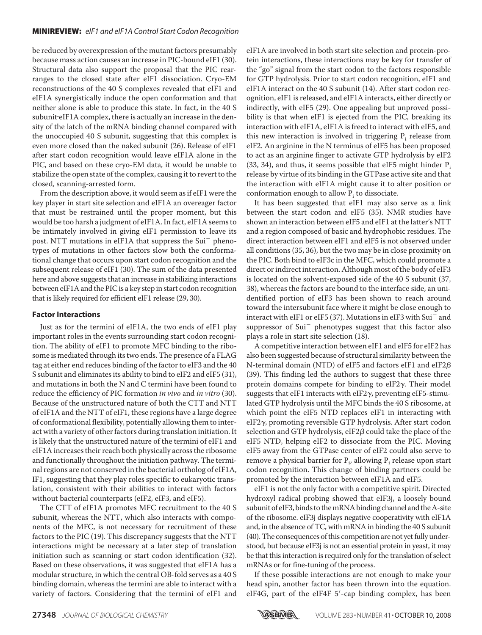#### MINIREVIEW: *eIF1 and eIF1A Control Start Codon Recognition*

be reduced by overexpression of the mutant factors presumably because mass action causes an increase in PIC-bound eIF1 (30). Structural data also support the proposal that the PIC rearranges to the closed state after eIF1 dissociation. Cryo-EM reconstructions of the 40 S complexes revealed that eIF1 and eIF1A synergistically induce the open conformation and that neither alone is able to produce this state. In fact, in the 40 S subuniteIF1A complex, there is actually an increase in the density of the latch of the mRNA binding channel compared with the unoccupied 40 S subunit, suggesting that this complex is even more closed than the naked subunit (26). Release of eIF1 after start codon recognition would leave eIF1A alone in the PIC, and based on these cryo-EM data, it would be unable to stabilize the open state of the complex, causing it to revert to the closed, scanning-arrested form.

From the description above, it would seem as if eIF1 were the key player in start site selection and eIF1A an overeager factor that must be restrained until the proper moment, but this would be too harsh a judgment of eIF1A. In fact, eIF1A seems to be intimately involved in giving eIF1 permission to leave its post. NTT mutations in eIF1A that suppress the Sui<sup>-</sup> phenotypes of mutations in other factors slow both the conformational change that occurs upon start codon recognition and the subsequent release of eIF1 (30). The sum of the data presented here and above suggests that an increase in stabilizing interactions between eIF1A and the PIC is a key step in start codon recognition that is likely required for efficient eIF1 release (29, 30).

#### **Factor Interactions**

Just as for the termini of eIF1A, the two ends of eIF1 play important roles in the events surrounding start codon recognition. The ability of eIF1 to promote MFC binding to the ribosome is mediated through its two ends. The presence of a FLAG tag at either end reduces binding of the factor to eIF3 and the 40 S subunit and eliminates its ability to bind to eIF2 and eIF5 (31), and mutations in both the N and C termini have been found to reduce the efficiency of PIC formation *in vivo* and *in vitro* (30). Because of the unstructured nature of both the CTT and NTT of eIF1A and the NTT of eIF1, these regions have a large degree of conformational flexibility, potentially allowing them to interact with a variety of other factors during translation initiation. It is likely that the unstructured nature of the termini of eIF1 and eIF1A increases their reach both physically across the ribosome and functionally throughout the initiation pathway. The terminal regions are not conserved in the bacterial ortholog of eIF1A, IF1, suggesting that they play roles specific to eukaryotic translation, consistent with their abilities to interact with factors without bacterial counterparts (eIF2, eIF3, and eIF5).

The CTT of eIF1A promotes MFC recruitment to the 40 S subunit, whereas the NTT, which also interacts with components of the MFC, is not necessary for recruitment of these factors to the PIC (19). This discrepancy suggests that the NTT interactions might be necessary at a later step of translation initiation such as scanning or start codon identification (32). Based on these observations, it was suggested that eIF1A has a modular structure, in which the central OB-fold serves as a 40 S binding domain, whereas the termini are able to interact with a variety of factors. Considering that the termini of eIF1 and

eIF1A are involved in both start site selection and protein-protein interactions, these interactions may be key for transfer of the "go" signal from the start codon to the factors responsible for GTP hydrolysis. Prior to start codon recognition, eIF1 and eIF1A interact on the 40 S subunit (14). After start codon recognition, eIF1 is released, and eIF1A interacts, either directly or indirectly, with eIF5 (29). One appealing but unproved possibility is that when eIF1 is ejected from the PIC, breaking its interaction with eIF1A, eIF1A is freed to interact with eIF5, and this new interaction is involved in triggering  $P_i$  release from eIF2. An arginine in the N terminus of eIF5 has been proposed to act as an arginine finger to activate GTP hydrolysis by eIF2  $(33, 34)$ , and thus, it seems possible that eIF5 might hinder  $P_i$ release by virtue of its binding in the GTPase active site and that the interaction with eIF1A might cause it to alter position or conformation enough to allow  $P_i$  to dissociate.

It has been suggested that eIF1 may also serve as a link between the start codon and eIF5 (35). NMR studies have shown an interaction between eIF5 and eIF1 at the latter's NTT and a region composed of basic and hydrophobic residues. The direct interaction between eIF1 and eIF5 is not observed under all conditions (35, 36), but the two may be in close proximity on the PIC. Both bind to eIF3c in the MFC, which could promote a direct or indirect interaction. Although most of the body of eIF3 is located on the solvent-exposed side of the 40 S subunit (37, 38), whereas the factors are bound to the interface side, an unidentified portion of eIF3 has been shown to reach around toward the intersubunit face where it might be close enough to interact with eIF1 or eIF5 (37). Mutations in eIF3 with  $\mathrm{Sui}^-$  and suppressor of Sui<sup>-</sup> phenotypes suggest that this factor also plays a role in start site selection (18).

A competitive interaction between eIF1 and eIF5 for eIF2 has also been suggested because of structural similarity between the N-terminal domain (NTD) of eIF5 and factors eIF1 and eIF2 $\beta$ (39). This finding led the authors to suggest that these three protein domains compete for binding to eIF2 $\gamma$ . Their model suggests that eIF1 interacts with eIF2 $\gamma$ , preventing eIF5-stimulated GTP hydrolysis until the MFC binds the 40 S ribosome, at which point the eIF5 NTD replaces eIF1 in interacting with eIF2 $\gamma$ , promoting reversible GTP hydrolysis. After start codon selection and GTP hydrolysis, eIF2 $\beta$  could take the place of the eIF5 NTD, helping eIF2 to dissociate from the PIC. Moving eIF5 away from the GTPase center of eIF2 could also serve to remove a physical barrier for  $P_i$ , allowing  $P_i$  release upon start codon recognition. This change of binding partners could be promoted by the interaction between eIF1A and eIF5.

eIF1 is not the only factor with a competitive spirit. Directed hydroxyl radical probing showed that eIF3j, a loosely bound subunit of eIF3, binds to themRNA binding channel and the A-site of the ribosome. eIF3j displays negative cooperativity with eIF1A and, in the absence of TC, with mRNA in binding the 40 S subunit (40). The consequences of this competition are not yet fully understood, but because eIF3j is not an essential protein in yeast, it may be that this interaction is required only for the translation of select mRNAs or for fine-tuning of the process.

If these possible interactions are not enough to make your head spin, another factor has been thrown into the equation. eIF4G, part of the eIF4F 5'-cap binding complex, has been